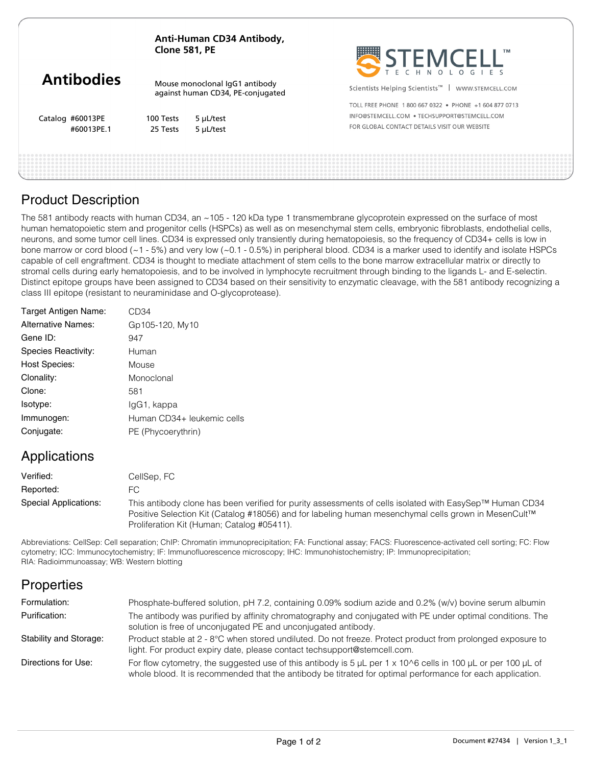| Anti-Human CD34 Antibody, |
|---------------------------|
| <b>Clone 581, PE</b>      |

|                   | Clone 301, PE<br>Mouse monoclonal IgG1 antibody<br>against human CD34, PE-conjugated |                | TM.<br><b>"TEMCELL</b><br>ECHNOLOGIES                          |  |
|-------------------|--------------------------------------------------------------------------------------|----------------|----------------------------------------------------------------|--|
| <b>Antibodies</b> |                                                                                      |                | Scientists Helping Scientists <sup>™</sup><br>WWW.STEMCELL.COM |  |
|                   |                                                                                      |                | TOLL FREE PHONE 1800 667 0322 • PHONE +1 604 877 0713          |  |
| Catalog #60013PE  | 100 Tests                                                                            | $5 \mu$ L/test | INFO@STEMCELL.COM . TECHSUPPORT@STEMCELL.COM                   |  |
| #60013PE.1        | 25 Tests                                                                             | 5 µL/test      | FOR GLOBAL CONTACT DETAILS VISIT OUR WEBSITE                   |  |
|                   |                                                                                      |                |                                                                |  |
|                   |                                                                                      |                |                                                                |  |

**PERSONAL PROPERTY** 

# Product Description

The 581 antibody reacts with human CD34, an ~105 - 120 kDa type 1 transmembrane glycoprotein expressed on the surface of most human hematopoietic stem and progenitor cells (HSPCs) as well as on mesenchymal stem cells, embryonic fibroblasts, endothelial cells, neurons, and some tumor cell lines. CD34 is expressed only transiently during hematopoiesis, so the frequency of CD34+ cells is low in bone marrow or cord blood (~1 - 5%) and very low (~0.1 - 0.5%) in peripheral blood. CD34 is a marker used to identify and isolate HSPCs capable of cell engraftment. CD34 is thought to mediate attachment of stem cells to the bone marrow extracellular matrix or directly to stromal cells during early hematopoiesis, and to be involved in lymphocyte recruitment through binding to the ligands L- and E-selectin. Distinct epitope groups have been assigned to CD34 based on their sensitivity to enzymatic cleavage, with the 581 antibody recognizing a class III epitope (resistant to neuraminidase and O-glycoprotease).

| Target Antigen Name:      | CD34                       |
|---------------------------|----------------------------|
| <b>Alternative Names:</b> | Gp105-120, My10            |
| Gene ID:                  | 947                        |
| Species Reactivity:       | Human                      |
| <b>Host Species:</b>      | Mouse                      |
| Clonality:                | Monoclonal                 |
| Clone:                    | 581                        |
| Isotype:                  | lgG1, kappa                |
| Immunogen:                | Human CD34+ leukemic cells |
| Conjugate:                | PE (Phycoerythrin)         |
|                           |                            |

# Applications

| Verified:             | CellSep, FC                                                                                                                                                                                                                                                   |
|-----------------------|---------------------------------------------------------------------------------------------------------------------------------------------------------------------------------------------------------------------------------------------------------------|
| Reported:             | FС                                                                                                                                                                                                                                                            |
| Special Applications: | This antibody clone has been verified for purity assessments of cells isolated with EasySep™ Human CD34<br>Positive Selection Kit (Catalog #18056) and for labeling human mesenchymal cells grown in MesenCult™<br>Proliferation Kit (Human; Catalog #05411). |

Abbreviations: CellSep: Cell separation; ChIP: Chromatin immunoprecipitation; FA: Functional assay; FACS: Fluorescence-activated cell sorting; FC: Flow cytometry; ICC: Immunocytochemistry; IF: Immunofluorescence microscopy; IHC: Immunohistochemistry; IP: Immunoprecipitation; RIA: Radioimmunoassay; WB: Western blotting

# **Properties**

| Formulation:           | Phosphate-buffered solution, pH 7.2, containing 0.09% sodium azide and 0.2% (w/v) bovine serum albumin                                                                                                                                    |
|------------------------|-------------------------------------------------------------------------------------------------------------------------------------------------------------------------------------------------------------------------------------------|
| Purification:          | The antibody was purified by affinity chromatography and conjugated with PE under optimal conditions. The<br>solution is free of unconjugated PE and unconjugated antibody.                                                               |
| Stability and Storage: | Product stable at 2 - 8°C when stored undiluted. Do not freeze. Protect product from prolonged exposure to<br>light. For product expiry date, please contact techsupport@stemcell.com.                                                    |
| Directions for Use:    | For flow cytometry, the suggested use of this antibody is 5 $\mu$ L per 1 x 10^6 cells in 100 $\mu$ L or per 100 $\mu$ L of<br>whole blood. It is recommended that the antibody be titrated for optimal performance for each application. |